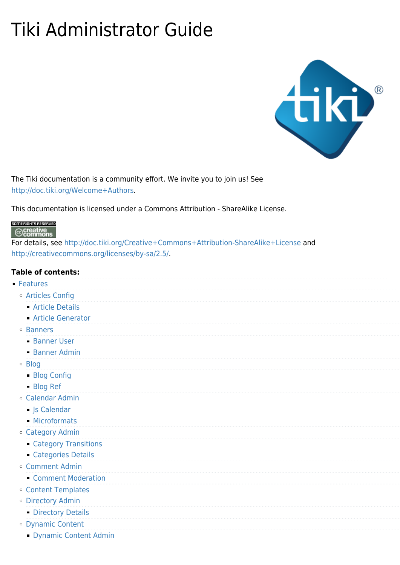## Tiki Administrator Guide



The Tiki documentation is a community effort. We invite you to join us! See [http://doc.tiki.org/Welcome+Authors.](http://doc.tiki.org/Welcome+Authors)

This documentation is licensed under a Commons Attribution - ShareAlike License.

## SOME RIGHTS RESERVED  $\odot$  creative

For details, see <http://doc.tiki.org/Creative+Commons+Attribution-ShareAlike+License>and <http://creativecommons.org/licenses/by-sa/2.5/>.

## **Table of contents:**

- [Features](https://doc.tiki.org/Features)
	- [Articles Config](https://doc.tiki.org/Articles-Config)
		- [Article Details](https://doc.tiki.org/Article-Details)
		- [Article Generator](https://doc.tiki.org/Article-Generator)
	- o [Banners](https://doc.tiki.org/Banners)
		- [Banner User](https://doc.tiki.org/Banner-User)
		- [Banner Admin](https://doc.tiki.org/Banner-Admin)
	- [Blog](https://doc.tiki.org/Blog)
		- [Blog Config](https://doc.tiki.org/Blog-Config)
		- [Blog Ref](https://doc.tiki.org/Blog-Ref)
	- [Calendar Admin](https://doc.tiki.org/Calendar-Admin)
		- [Js Calendar](https://doc.tiki.org/Js-Calendar)
		- [Microformats](https://doc.tiki.org/Microformats)
	- [Category Admin](https://doc.tiki.org/Category-Admin)
		- **[Category Transitions](https://doc.tiki.org/Category-Transitions)**
		- [Categories Details](https://doc.tiki.org/Categories-Details)
	- [Comment Admin](https://doc.tiki.org/Comment-Admin)
		- **[Comment Moderation](https://doc.tiki.org/Comment-Moderation)**
	- [Content Templates](https://doc.tiki.org/Content-Templates)
	- [Directory Admin](https://doc.tiki.org/Directory-Admin)
		- **[Directory Details](https://doc.tiki.org/Directory-Details)**
	- [Dynamic Content](https://doc.tiki.org/Dynamic-Content)
		- [Dynamic Content Admin](https://doc.tiki.org/Dynamic-Content-Admin)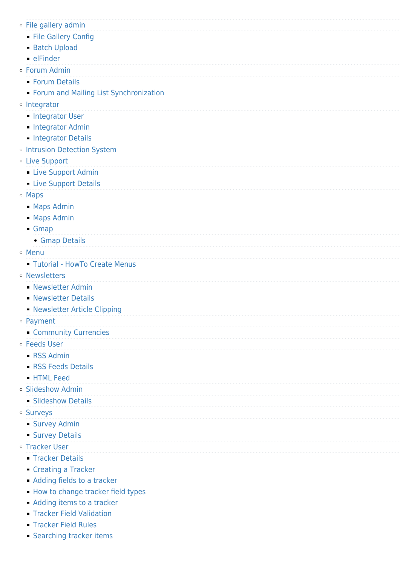- [File gallery admin](https://doc.tiki.org/File-gallery-admin)
	- **[File Gallery Config](https://doc.tiki.org/File-Gallery-Config)**
	- [Batch Upload](https://doc.tiki.org/Batch-Upload)
	- [elFinder](https://doc.tiki.org/elFinder)
- [Forum Admin](https://doc.tiki.org/Forum-Admin)
	- **[Forum Details](https://doc.tiki.org/Forum-Details)**
	- **[Forum and Mailing List Synchronization](https://doc.tiki.org/Forum-and-Mailing-List-Synchronization)**
- o [Integrator](https://doc.tiki.org/Integrator)
	- **[Integrator User](https://doc.tiki.org/Integrator-User)**
	- **[Integrator Admin](https://doc.tiki.org/Integrator-Admin)**
	- **[Integrator Details](https://doc.tiki.org/Integrator-Details)**
- o [Intrusion Detection System](https://doc.tiki.org/Intrusion-Detection-System)
- [Live Support](https://doc.tiki.org/Live-Support)
	- **[Live Support Admin](https://doc.tiki.org/Live-Support-Admin)**
	- **[Live Support Details](https://doc.tiki.org/Live-Support-Details)**
- [Maps](https://doc.tiki.org/Maps)
	- [Maps Admin](https://doc.tiki.org/Maps-Admin)
	- [Maps Admin](https://doc.tiki.org/Maps-Admin)
	- [Gmap](https://doc.tiki.org/Gmap)
		- [Gmap Details](https://doc.tiki.org/Gmap-Details)
- o [Menu](https://doc.tiki.org/Menu)
	- [Tutorial HowTo Create Menus](https://doc.tiki.org/Tutorial---HowTo-Create-Menus?structure=HomePage+AdminGuide)
- [Newsletters](https://doc.tiki.org/Newsletters)
	- **[Newsletter Admin](https://doc.tiki.org/Newsletter-Admin)**
	- **[Newsletter Details](https://doc.tiki.org/Newsletter-Details)**
	- [Newsletter Article Clipping](https://doc.tiki.org/Newsletter-Article-Clipping)
- [Payment](https://doc.tiki.org/Payment)
	- [Community Currencies](https://doc.tiki.org/Community-Currencies)
- [Feeds User](https://doc.tiki.org/Feeds-User)
	- **[RSS Admin](https://doc.tiki.org/RSS-Admin)**
	- **[RSS Feeds Details](https://doc.tiki.org/RSS-Feeds-Details)**
	- **[HTML Feed](https://doc.tiki.org/HTML-Feed)**
- [Slideshow Admin](https://doc.tiki.org/Slideshow-Admin)
	- **[Slideshow Details](https://doc.tiki.org/Slideshow-Details)**
- [Surveys](https://doc.tiki.org/Surveys)
	- **[Survey Admin](https://doc.tiki.org/Survey-Admin)**
	- **[Survey Details](https://doc.tiki.org/Survey-Details)**
- [Tracker User](https://doc.tiki.org/Tracker-User?structure=HomePage+AdminGuide)
	- **[Tracker Details](https://doc.tiki.org/Tracker-Details)**
	- [Creating a Tracker](https://doc.tiki.org/Creating-a-Tracker?structure=HomePage+AdminGuide)
	- [Adding fields to a tracker](https://doc.tiki.org/Adding-fields-to-a-tracker?structure=HomePage+AdminGuide)
	- **[How to change tracker field types](https://doc.tiki.org/How-to-change-tracker-field-types?structure=HomePage+AdminGuide)**
	- [Adding items to a tracker](https://doc.tiki.org/Adding-items-to-a-tracker?structure=HomePage+AdminGuide)
	- **[Tracker Field Validation](https://doc.tiki.org/Tracker-Field-Validation)**
	- **[Tracker Field Rules](https://doc.tiki.org/Tracker-Field-Rules)**
	- **[Searching tracker items](https://doc.tiki.org/Searching-tracker-items?structure=HomePage+AdminGuide)**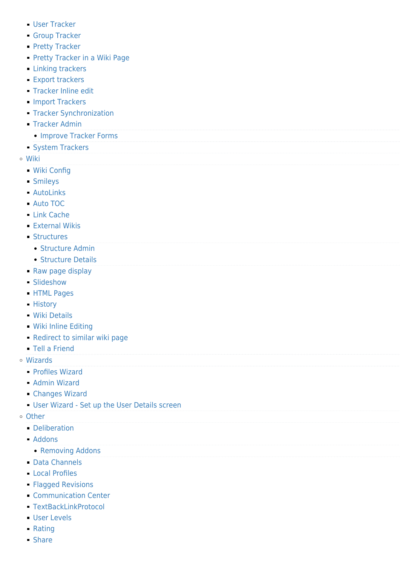- [User Tracker](https://doc.tiki.org/User-Tracker)
- **[Group Tracker](https://doc.tiki.org/Group-Tracker)**
- **[Pretty Tracker](https://doc.tiki.org/Pretty-Tracker)**
- **[Pretty Tracker in a Wiki Page](https://doc.tiki.org/Pretty-Tracker-in-a-Wiki-Page)**
- **[Linking trackers](https://doc.tiki.org/Linking-trackers?structure=HomePage+AdminGuide)**
- **[Export trackers](https://doc.tiki.org/Export-trackers?structure=HomePage+AdminGuide)**
- **[Tracker Inline edit](https://doc.tiki.org/Tracker-Inline-edit)**
- **[Import Trackers](https://doc.tiki.org/Import-Trackers)**
- **[Tracker Synchronization](https://doc.tiki.org/Tracker-Synchronization)**
- **[Tracker Admin](https://doc.tiki.org/Tracker-Admin)** 
	- **[Improve Tracker Forms](https://doc.tiki.org/Improve-Tracker-Forms)**
- **[System Trackers](https://doc.tiki.org/System-Trackers)**
- [Wiki](https://doc.tiki.org/Wiki)
	- [Wiki Config](https://doc.tiki.org/Wiki-Config)
	- [Smileys](https://doc.tiki.org/Smileys)
	- [AutoLinks](https://doc.tiki.org/AutoLinks)
	- [Auto TOC](https://doc.tiki.org/Auto-TOC)
	- [Link Cache](https://doc.tiki.org/Link-Cache)
	- [External Wikis](https://doc.tiki.org/External-Wikis)
	- **[Structures](https://doc.tiki.org/Structures)** 
		- [Structure Admin](https://doc.tiki.org/Structure-Admin)
		- [Structure Details](https://doc.tiki.org/Structure-Details)
	- [Raw page display](https://doc.tiki.org/Raw-page-display)
	- [Slideshow](https://doc.tiki.org/Slideshow)
	- **[HTML Pages](https://doc.tiki.org/HTML-Pages)**
	- **[History](https://doc.tiki.org/History)**
	- [Wiki Details](https://doc.tiki.org/Wiki-Details)
	- [Wiki Inline Editing](https://doc.tiki.org/Wiki-Inline-Editing)
	- **[Redirect to similar wiki page](https://doc.tiki.org/Redirect-to-similar-wiki-page)**
	- [Tell a Friend](https://doc.tiki.org/Tell-a-Friend)
- [Wizards](https://doc.tiki.org/Wizards)
	- [Profiles Wizard](https://doc.tiki.org/Profiles-Wizard)
	- [Admin Wizard](https://doc.tiki.org/Admin-Wizard)
	- [Changes Wizard](https://doc.tiki.org/Changes-Wizard)
	- [User Wizard Set up the User Details screen](https://doc.tiki.org/User-Wizard---Set-up-the-User-Details-screen)
- [Other](https://doc.tiki.org/Other)
	- [Deliberation](https://doc.tiki.org/Deliberation)
	- [Addons](https://doc.tiki.org/Addons)
		- [Removing Addons](https://doc.tiki.org/Removing-Addons)
	- [Data Channels](https://doc.tiki.org/Data-Channels)
	- [Local Profiles](https://doc.tiki.org/Local-Profiles)
	- **[Flagged Revisions](https://doc.tiki.org/Flagged-Revisions)**
	- **[Communication Center](https://doc.tiki.org/Communication-Center)**
	- [TextBackLinkProtocol](https://doc.tiki.org/TextBackLinkProtocol)
	- [User Levels](https://doc.tiki.org/User-Levels)
	- [Rating](https://doc.tiki.org/Rating)
	- [Share](https://doc.tiki.org/Share)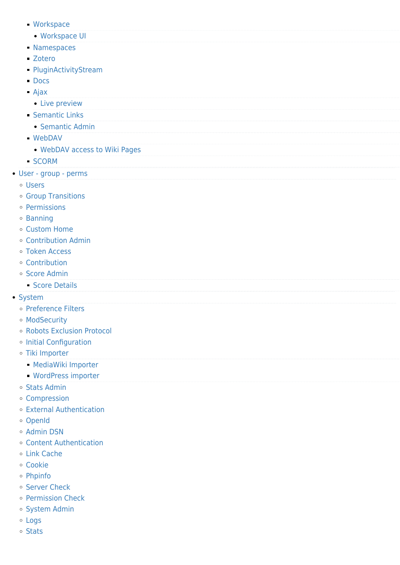- [Workspace](https://doc.tiki.org/Workspace)
	- [Workspace UI](https://doc.tiki.org/Workspace-UI)
- **[Namespaces](https://doc.tiki.org/Namespaces)**
- [Zotero](https://doc.tiki.org/Zotero)
- [PluginActivityStream](https://doc.tiki.org/PluginActivityStream?structure=HomePage+AdminGuide)
- **[Docs](https://doc.tiki.org/Docs)**
- [Ajax](https://doc.tiki.org/Ajax)
- [Live preview](https://doc.tiki.org/Live-preview)
- **[Semantic Links](https://doc.tiki.org/Semantic-Links)** 
	- [Semantic Admin](https://doc.tiki.org/Semantic-Admin)
- [WebDAV](https://doc.tiki.org/WebDAV)
	- [WebDAV access to Wiki Pages](https://doc.tiki.org/WebDAV-access-to-Wiki-Pages)
- [SCORM](https://doc.tiki.org/SCORM)
- [User group perms](https://doc.tiki.org/User---group---perms)
	- [Users](https://doc.tiki.org/Users)
	- [Group Transitions](https://doc.tiki.org/Group-Transitions)
	- [Permissions](https://doc.tiki.org/Permissions)
	- o [Banning](https://doc.tiki.org/Banning)
	- [Custom Home](https://doc.tiki.org/Custom-Home)
	- [Contribution Admin](https://doc.tiki.org/Contribution-Admin)
	- [Token Access](https://doc.tiki.org/Token-Access)
	- [Contribution](https://doc.tiki.org/Contribution)
	- o [Score Admin](https://doc.tiki.org/Score-Admin)
		- **[Score Details](https://doc.tiki.org/Score-Details)**
- [System](https://doc.tiki.org/System)
	- o [Preference Filters](https://doc.tiki.org/Preference-Filters)
	- [ModSecurity](https://doc.tiki.org/ModSecurity)
	- [Robots Exclusion Protocol](https://doc.tiki.org/Robots-Exclusion-Protocol)
	- [Initial Configuration](https://doc.tiki.org/Initial-Configuration)
	- [Tiki Importer](https://doc.tiki.org/Tiki-Importer)
		- [MediaWiki Importer](https://doc.tiki.org/MediaWiki-Importer)
		- [WordPress importer](https://doc.tiki.org/WordPress-importer)
	- o [Stats Admin](https://doc.tiki.org/Stats-Admin)
	- [Compression](https://doc.tiki.org/Compression)
	- [External Authentication](https://doc.tiki.org/External-Authentication)
	- [OpenId](https://doc.tiki.org/OpenId)
	- o [Admin DSN](https://doc.tiki.org/Admin-DSN)
	- [Content Authentication](https://doc.tiki.org/Content-Authentication)
	- [Link Cache](https://doc.tiki.org/Link-Cache)
	- [Cookie](https://doc.tiki.org/Cookie)
	- [Phpinfo](https://doc.tiki.org/Phpinfo)
	- o [Server Check](https://doc.tiki.org/Server-Check)
	- [Permission Check](https://doc.tiki.org/Permission-Check)
	- o [System Admin](https://doc.tiki.org/System-Admin)
	- [Logs](https://doc.tiki.org/Logs)
	- o [Stats](https://doc.tiki.org/Stats)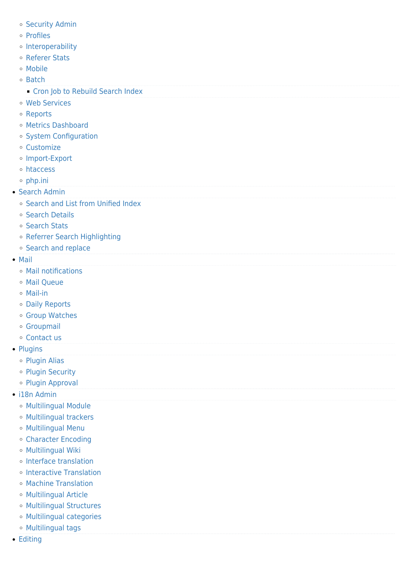- o [Security Admin](https://doc.tiki.org/Security-Admin)
- o [Profiles](https://doc.tiki.org/Profiles?structure=HomePage+AdminGuide)
- o [Interoperability](https://doc.tiki.org/Interoperability)
- [Referer Stats](https://doc.tiki.org/Referer-Stats)
- [Mobile](https://doc.tiki.org/Mobile)
- o [Batch](https://doc.tiki.org/Batch)
	- **[Cron Job to Rebuild Search Index](https://doc.tiki.org/Cron-Job-to-Rebuild-Search-Index)**
- [Web Services](https://doc.tiki.org/Web-Services)
- [Reports](https://doc.tiki.org/Reports)
- [Metrics Dashboard](https://doc.tiki.org/Metrics-Dashboard)
- o [System Configuration](https://doc.tiki.org/System-Configuration)
- [Customize](https://doc.tiki.org/Customize)
- o [Import-Export](https://doc.tiki.org/Import-Export)
- [htaccess](https://doc.tiki.org/htaccess)
- $\circ$  [php.ini](https://doc.tiki.org/php.ini)
- [Search Admin](https://doc.tiki.org/Search-Admin)
	- [Search and List from Unified Index](https://doc.tiki.org/Search-and-List-from-Unified-Index)
	- o [Search Details](https://doc.tiki.org/Search-Details)
	- o [Search Stats](https://doc.tiki.org/Search-Stats)
	- o [Referrer Search Highlighting](https://doc.tiki.org/Referrer-Search-Highlighting)
	- o [Search and replace](https://doc.tiki.org/Search-and-replace)
- [Mail](https://doc.tiki.org/Mail)
	- [Mail notifications](https://doc.tiki.org/Mail-notifications)
	- [Mail Queue](https://doc.tiki.org/Mail-Queue)
	- [Mail-in](https://doc.tiki.org/Mail-in)
	- [Daily Reports](https://doc.tiki.org/Daily-Reports)
	- [Group Watches](https://doc.tiki.org/Group-Watches)
	- [Groupmail](https://doc.tiki.org/Groupmail)
	- [Contact us](https://doc.tiki.org/Contact-us)
- [Plugins](https://doc.tiki.org/Plugins?structure=HomePage+AdminGuide)
	- [Plugin Alias](https://doc.tiki.org/Plugin-Alias)
	- o [Plugin Security](https://doc.tiki.org/Plugin-Security)
	- o [Plugin Approval](https://doc.tiki.org/Plugin-Approval)
- [i18n Admin](https://doc.tiki.org/i18n-Admin)
	- [Multilingual Module](https://doc.tiki.org/Multilingual-Module)
	- [Multilingual trackers](https://doc.tiki.org/Multilingual-trackers?structure=HomePage+AdminGuide)
	- [Multilingual Menu](https://doc.tiki.org/Multilingual-Menu)
	- [Character Encoding](https://doc.tiki.org/Character-Encoding)
	- [Multilingual Wiki](https://doc.tiki.org/Multilingual-Wiki)
	- [Interface translation](https://doc.tiki.org/Interface-translation)
	- o [Interactive Translation](https://doc.tiki.org/Interactive-Translation)
	- [Machine Translation](https://doc.tiki.org/Machine-Translation)
	- [Multilingual Article](https://doc.tiki.org/Multilingual-Article)
	- [Multilingual Structures](https://doc.tiki.org/Multilingual-Structures)
	- [Multilingual categories](https://doc.tiki.org/Multilingual-categories)
	- [Multilingual tags](https://doc.tiki.org/Multilingual-tags)
- [Editing](https://doc.tiki.org/Editing)